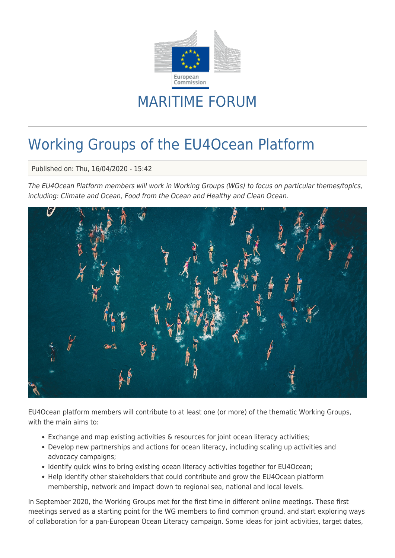

## MARITIME FORUM

# Working Groups of the EU4Ocean Platform

Published on: Thu, 16/04/2020 - 15:42

The EU4Ocean Platform members will work in Working Groups (WGs) to focus on particular themes/topics, including: Climate and Ocean, Food from the Ocean and Healthy and Clean Ocean.



EU4Ocean platform members will contribute to at least one (or more) of the thematic Working Groups, with the main aims to:

- Exchange and map existing activities & resources for joint ocean literacy activities;
- Develop new partnerships and actions for ocean literacy, including scaling up activities and advocacy campaigns;
- Identify quick wins to bring existing ocean literacy activities together for EU4Ocean;
- Help identify other stakeholders that could contribute and grow the EU4Ocean platform membership, network and impact down to regional sea, national and local levels.

In September 2020, the Working Groups met for the first time in different online meetings. These first meetings served as a starting point for the WG members to find common ground, and start exploring ways of collaboration for a pan-European Ocean Literacy campaign. Some ideas for joint activities, target dates,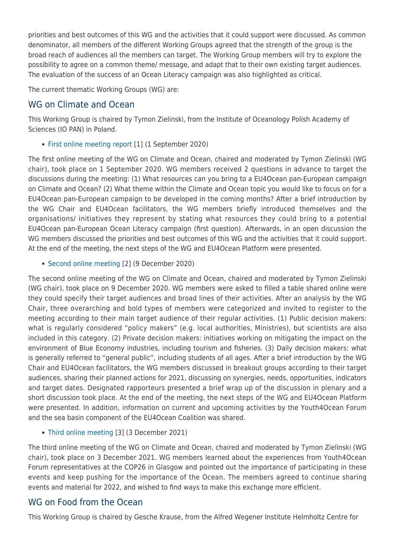priorities and best outcomes of this WG and the activities that it could support were discussed. As common denominator, all members of the different Working Groups agreed that the strength of the group is the broad reach of audiences all the members can target. The Working Group members will try to explore the possibility to agree on a common theme/ message, and adapt that to their own existing target audiences. The evaluation of the success of an Ocean Literacy campaign was also highlighted as critical.

The current thematic Working Groups (WG) are:

### WG on Climate and Ocean

This Working Group is chaired by Tymon Zielinski, from the Institute of Oceanology Polish Academy of Sciences (IO PAN) in Poland.

• [First online meeting report](http://www.marineboard.eu/sites/marineboard.eu/files/public/New website/Projects/EU4Ocean/EU4Ocean WG Climate meeting 1 report.pdf?_t=1600156616) [1] (1 September 2020)

The first online meeting of the WG on Climate and Ocean, chaired and moderated by Tymon Zielinski (WG chair), took place on 1 September 2020. WG members received 2 questions in advance to target the discussions during the meeting: (1) What resources can you bring to a EU4Ocean pan-European campaign on Climate and Ocean? (2) What theme within the Climate and Ocean topic you would like to focus on for a EU4Ocean pan-European campaign to be developed in the coming months? After a brief introduction by the WG Chair and EU4Ocean facilitators, the WG members briefly introduced themselves and the organisations/ initiatives they represent by stating what resources they could bring to a potential EU4Ocean pan-European Ocean Literacy campaign (first question). Afterwards, in an open discussion the WG members discussed the priorities and best outcomes of this WG and the activities that it could support. At the end of the meeting, the next steps of the WG and EU4Ocean Platform were presented.

• [Second online meeting](https://www.marineboard.eu/sites/marineboard.eu/files/public/New website/Projects/EU4Ocean/EU4Ocean WG Climate meeting 2 report.pdf?_t=1611314078) [2] (9 December 2020)

The second online meeting of the WG on Climate and Ocean, chaired and moderated by Tymon Zielinski (WG chair), took place on 9 December 2020. WG members were asked to filled a table shared online were they could specify their target audiences and broad lines of their activities. After an analysis by the WG Chair, three overarching and bold types of members were categorized and invited to register to the meeting according to their main target audience of their regular activities. (1) Public decision makers: what is regularly considered "policy makers" (e.g. local authorities, Ministries), but scientists are also included in this category. (2) Private decision makers: initiatives working on mitigating the impact on the environment of Blue Economy industries, including tourism and fisheries. (3) Daily decision makers: what is generally referred to "general public", including students of all ages. After a brief introduction by the WG Chair and EU4Ocean facilitators, the WG members discussed in breakout groups according to their target audiences, sharing their planned actions for 2021, discussing on synergies, needs, opportunities, indicators and target dates. Designated rapporteurs presented a brief wrap up of the discussion in plenary and a short discussion took place. At the end of the meeting, the next steps of the WG and EU4Ocean Platform were presented. In addition, information on current and upcoming activities by the Youth4Ocean Forum and the sea basin component of the EU4Ocean Coalition was shared.

[Third online meeting](https://www.marineboard.eu/sites/marineboard.eu/files/public/New website/Projects/EU4Ocean/EU4Ocean WG Climate meeting 3 report.pdf?_t=1641983514) [3] (3 December 2021)

The third online meeting of the WG on Climate and Ocean, chaired and moderated by Tymon Zielinski (WG chair), took place on 3 December 2021. WG members learned about the experiences from Youth4Ocean Forum representatives at the COP26 in Glasgow and pointed out the importance of participating in these events and keep pushing for the importance of the Ocean. The members agreed to continue sharing events and material for 2022, and wished to find ways to make this exchange more efficient.

### WG on Food from the Ocean

This Working Group is chaired by Gesche Krause, from the Alfred Wegener Institute Helmholtz Centre for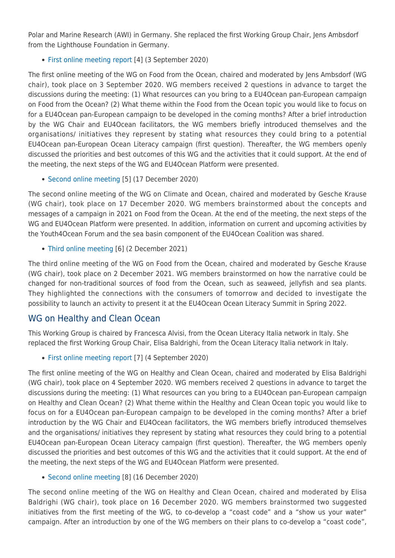Polar and Marine Research (AWI) in Germany. She replaced the first Working Group Chair, Jens Ambsdorf from the Lighthouse Foundation in Germany.

[First online meeting report](http://www.marineboard.eu/sites/marineboard.eu/files/public/New website/Projects/EU4Ocean/EU4Ocean WG Food meeting 1 report.pdf?_t=1600156631) [4] (3 September 2020)

The first online meeting of the WG on Food from the Ocean, chaired and moderated by Jens Ambsdorf (WG chair), took place on 3 September 2020. WG members received 2 questions in advance to target the discussions during the meeting: (1) What resources can you bring to a EU4Ocean pan-European campaign on Food from the Ocean? (2) What theme within the Food from the Ocean topic you would like to focus on for a EU4Ocean pan-European campaign to be developed in the coming months? After a brief introduction by the WG Chair and EU4Ocean facilitators, the WG members briefly introduced themselves and the organisations/ initiatives they represent by stating what resources they could bring to a potential EU4Ocean pan-European Ocean Literacy campaign (first question). Thereafter, the WG members openly discussed the priorities and best outcomes of this WG and the activities that it could support. At the end of the meeting, the next steps of the WG and EU4Ocean Platform were presented.

[Second online meeting](https://www.marineboard.eu/sites/marineboard.eu/files/public/New website/Projects/EU4Ocean/EU4Ocean WG Food meeting 2 report.pdf?_t=1611314086) [5] (17 December 2020)

The second online meeting of the WG on Climate and Ocean, chaired and moderated by Gesche Krause (WG chair), took place on 17 December 2020. WG members brainstormed about the concepts and messages of a campaign in 2021 on Food from the Ocean. At the end of the meeting, the next steps of the WG and EU4Ocean Platform were presented. In addition, information on current and upcoming activities by the Youth4Ocean Forum and the sea basin component of the EU4Ocean Coalition was shared.

[Third online meeting](https://www.marineboard.eu/sites/marineboard.eu/files/public/New website/Projects/EU4Ocean/EU4Ocean WG Food meeting 3 report.pdf?_t=1641983507) [6] (2 December 2021)

The third online meeting of the WG on Food from the Ocean, chaired and moderated by Gesche Krause (WG chair), took place on 2 December 2021. WG members brainstormed on how the narrative could be changed for non-traditional sources of food from the Ocean, such as seaweed, jellyfish and sea plants. They highlighted the connections with the consumers of tomorrow and decided to investigate the possibility to launch an activity to present it at the EU4Ocean Ocean Literacy Summit in Spring 2022.

### WG on Healthy and Clean Ocean

This Working Group is chaired by Francesca Alvisi, from the Ocean Literacy Italia network in Italy. She replaced the first Working Group Chair, Elisa Baldrighi, from the Ocean Literacy Italia network in Italy.

• [First online meeting report](http://www.marineboard.eu/sites/marineboard.eu/files/public/New website/Projects/EU4Ocean/EU4Ocean WG Clean meeting 1 report.pdf?_t=1600156654) [7] (4 September 2020)

The first online meeting of the WG on Healthy and Clean Ocean, chaired and moderated by Elisa Baldrighi (WG chair), took place on 4 September 2020. WG members received 2 questions in advance to target the discussions during the meeting: (1) What resources can you bring to a EU4Ocean pan-European campaign on Healthy and Clean Ocean? (2) What theme within the Healthy and Clean Ocean topic you would like to focus on for a EU4Ocean pan-European campaign to be developed in the coming months? After a brief introduction by the WG Chair and EU4Ocean facilitators, the WG members briefly introduced themselves and the organisations/ initiatives they represent by stating what resources they could bring to a potential EU4Ocean pan-European Ocean Literacy campaign (first question). Thereafter, the WG members openly discussed the priorities and best outcomes of this WG and the activities that it could support. At the end of the meeting, the next steps of the WG and EU4Ocean Platform were presented.

• [Second online meeting](https://www.marineboard.eu/sites/marineboard.eu/files/public/New website/Projects/EU4Ocean/EU4Ocean WG Clean meeting 2 report.pdf?_t=1611314107) [8] (16 December 2020)

The second online meeting of the WG on Healthy and Clean Ocean, chaired and moderated by Elisa Baldrighi (WG chair), took place on 16 December 2020. WG members brainstormed two suggested initiatives from the first meeting of the WG, to co-develop a "coast code" and a "show us your water" campaign. After an introduction by one of the WG members on their plans to co-develop a "coast code",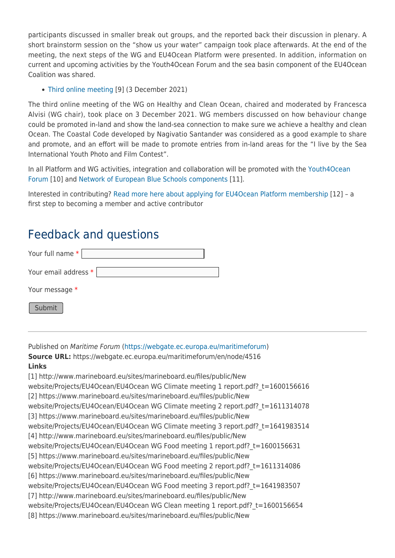participants discussed in smaller break out groups, and the reported back their discussion in plenary. A short brainstorm session on the "show us your water" campaign took place afterwards. At the end of the meeting, the next steps of the WG and EU4Ocean Platform were presented. In addition, information on current and upcoming activities by the Youth4Ocean Forum and the sea basin component of the EU4Ocean Coalition was shared.

#### • [Third online meeting](https://www.marineboard.eu/sites/marineboard.eu/files/public/New website/Projects/EU4Ocean/EU4Ocean WG Clean meeting 3 report.pdf?_t=1641983501) [9] (3 December 2021)

The third online meeting of the WG on Healthy and Clean Ocean, chaired and moderated by Francesca Alvisi (WG chair), took place on 3 December 2021. WG members discussed on how behaviour change could be promoted in-land and show the land-sea connection to make sure we achieve a healthy and clean Ocean. The Coastal Code developed by Nagivatio Santander was considered as a good example to share and promote, and an effort will be made to promote entries from in-land areas for the "I live by the Sea International Youth Photo and Film Contest".

In all Platform and WG activities, integration and collaboration will be promoted with the [Youth4Ocean](https://webgate.ec.europa.eu/maritimeforum/en/frontpage/1484) [Forum](https://webgate.ec.europa.eu/maritimeforum/en/frontpage/1484) [10] and [Network of European Blue Schools components](https://webgate.ec.europa.eu/maritimeforum/en/frontpage/1485) [11].

Interested in contributing? [Read more here about applying for EU4Ocean Platform membership](https://webgate.ec.europa.eu/maritimeforum/en/node/4509) [12] – a first step to becoming a member and active contributor

### Feedback and questions

| Your full name *     |
|----------------------|
| Your email address * |
| Your message *       |
| Submit               |

Published on Maritime Forum ([https://webgate.ec.europa.eu/maritimeforum\)](https://webgate.ec.europa.eu/maritimeforum)

**Source URL:** https://webgate.ec.europa.eu/maritimeforum/en/node/4516 **Links** [1] http://www.marineboard.eu/sites/marineboard.eu/files/public/New

website/Projects/EU4Ocean/EU4Ocean WG Climate meeting 1 report.pdf? t=1600156616 [2] https://www.marineboard.eu/sites/marineboard.eu/files/public/New website/Projects/EU4Ocean/EU4Ocean WG Climate meeting 2 report.pdf?\_t=1611314078 [3] https://www.marineboard.eu/sites/marineboard.eu/files/public/New website/Projects/EU4Ocean/EU4Ocean WG Climate meeting 3 report.pdf? t=1641983514 [4] http://www.marineboard.eu/sites/marineboard.eu/files/public/New website/Projects/EU4Ocean/EU4Ocean WG Food meeting 1 report.pdf?\_t=1600156631 [5] https://www.marineboard.eu/sites/marineboard.eu/files/public/New website/Projects/EU4Ocean/EU4Ocean WG Food meeting 2 report.pdf?\_t=1611314086 [6] https://www.marineboard.eu/sites/marineboard.eu/files/public/New website/Projects/EU4Ocean/EU4Ocean WG Food meeting 3 report.pdf?\_t=1641983507 [7] http://www.marineboard.eu/sites/marineboard.eu/files/public/New website/Projects/EU4Ocean/EU4Ocean WG Clean meeting 1 report.pdf?\_t=1600156654 [8] https://www.marineboard.eu/sites/marineboard.eu/files/public/New